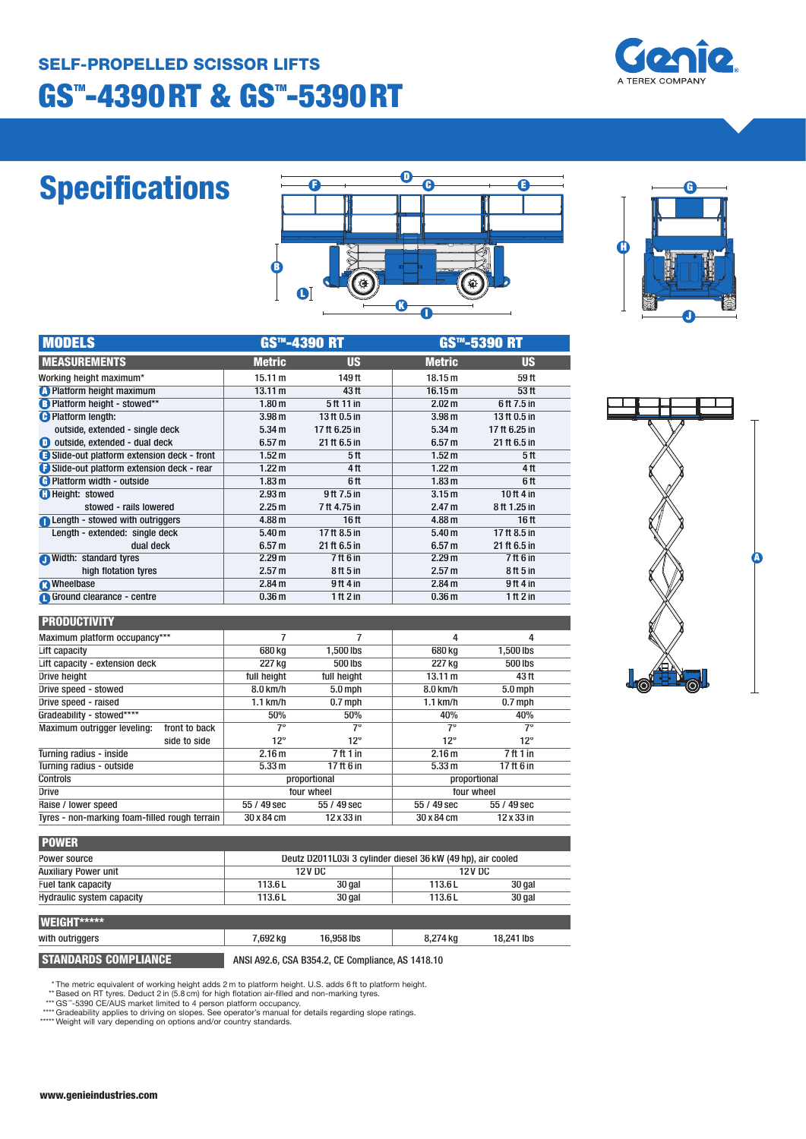

# **Specifications**

|        | G |                                 |  |
|--------|---|---------------------------------|--|
|        | m |                                 |  |
|        |   |                                 |  |
| B<br>O |   | ----<br><b>THE R. P. LEWIS.</b> |  |



| <b>MODELS</b>                             |                   | <b>GS™-4390 RT</b> | <b>GS™-5390 RT</b> |                  |  |
|-------------------------------------------|-------------------|--------------------|--------------------|------------------|--|
| <b>MEASUREMENTS</b>                       | <b>Metric</b>     | <b>US</b>          | <b>Metric</b>      | <b>US</b>        |  |
| Working height maximum*                   | 15.11 m           | 149 ft             | 18.15 m            | 59 ft            |  |
| <b>C</b> Platform height maximum          | 13.11 m           | 43 ft              | 16.15 m            | 53 <sub>ft</sub> |  |
| B Platform height - stowed**              | 1.80 <sub>m</sub> | 5ft 11 in          | 2.02 m             | 6ft 7.5 in       |  |
| <b>C</b> Platform length:                 | 3.98 <sub>m</sub> | 13 ft 0.5 in       | 3.98 <sub>m</sub>  | 13 ft 0.5 in     |  |
| outside, extended - single deck           | 5.34 m            | 17 ft 6.25 in      | 5.34 m             | 17 ft 6.25 in    |  |
| <b>D</b> outside, extended - dual deck    | 6.57 <sub>m</sub> | 21 ft 6.5 in       | 6.57 <sub>m</sub>  | 21 ft 6.5 in     |  |
| Slide-out platform extension deck - front | 1.52 <sub>m</sub> | 5 ft               | 1.52 <sub>m</sub>  | 5 ft             |  |
| Slide-out platform extension deck - rear  | 1.22 <sub>m</sub> | 4 ft               | 1.22 <sub>m</sub>  | 4ft              |  |
| <b>C</b> Platform width - outside         | 1.83 <sub>m</sub> | 6 ft               | 1.83 <sub>m</sub>  | 6 ft             |  |
| <b>C</b> Height: stowed                   | 2.93 m            | 9ft 7.5 in         | 3.15 <sub>m</sub>  | 10 ft $4$ in     |  |
| stowed - rails lowered                    | 2.25 m            | 7 ft 4.75 in       | 2.47 m             | 8ft 1.25 in      |  |
| <b>A</b> Length - stowed with outriggers  | 4.88 <sub>m</sub> | 16 <sub>ft</sub>   | 4.88 <sub>m</sub>  | 16 <sub>ft</sub> |  |
| Length - extended: single deck            | 5.40 <sub>m</sub> | 17 ft 8.5 in       | 5.40 <sub>m</sub>  | 17 ft 8.5 in     |  |
| dual deck                                 | 6.57 <sub>m</sub> | 21 ft 6.5 in       | 6.57 <sub>m</sub>  | 21 ft 6.5 in     |  |
| Width: standard tyres                     | 2.29 m            | 7ft 6 in           | 2.29 m             | 7 ft 6 in        |  |
| high flotation tyres                      | 2.57 m            | 8 ft 5 in          | 2.57 m             | 8 ft 5 in        |  |
| <b>R</b> Wheelbase                        | 2.84 m            | 9ft4in             | 2.84 m             | 9ft 4in          |  |
| Ground clearance - centre                 | 0.36 <sub>m</sub> | 1ft2in             | 0.36 <sub>m</sub>  | 1 ft $2$ in      |  |

#### **PRODUCTIVITY**

| <u>.</u>                                      |                   |                   |                   |                   |  |
|-----------------------------------------------|-------------------|-------------------|-------------------|-------------------|--|
| Maximum platform occupancy***                 |                   |                   | 4                 | 4                 |  |
| Lift capacity                                 | 680 kg            | 1.500 lbs         | 680 kg            | 1,500 lbs         |  |
| Lift capacity - extension deck                | 227 kg            | 500 lbs           | 227 kg            | 500 lbs           |  |
| Drive height                                  | full height       | full height       | 13.11 m           | 43 ft             |  |
| Drive speed - stowed                          | 8.0 km/h          | $5.0$ mph         | 8.0 km/h          | $5.0$ mph         |  |
| Drive speed - raised                          | $1.1$ km/h        | $0.7$ mph         | $1.1$ km/h        | $0.7$ mph         |  |
| Gradeability - stowed****                     | 50%               | 50%               | 40%               | 40%               |  |
| Maximum outrigger leveling:<br>front to back  | $7^\circ$         | 7°                | $7^{\circ}$       | 7°                |  |
| side to side                                  | $12^{\circ}$      | 12°               | $12^{\circ}$      | $12^{\circ}$      |  |
| Turning radius - inside                       | 2.16 <sub>m</sub> | 7ft1in            | 2.16 <sub>m</sub> | 7ft1in            |  |
| Turning radius - outside                      | 5.33 m            | 17 ft 6 in        | 5.33 m            | 17 ft 6 in        |  |
| Controls                                      | proportional      |                   | proportional      |                   |  |
| <b>Drive</b>                                  | four wheel        |                   | four wheel        |                   |  |
| Raise / lower speed                           | 55 / 49 sec       | 55 / 49 sec       | 55 / 49 sec       | 55 / 49 sec       |  |
| Tyres - non-marking foam-filled rough terrain | 30 x 84 cm        | $12 \times 33$ in | 30 x 84 cm        | $12 \times 33$ in |  |
|                                               |                   |                   |                   |                   |  |

| I |  | ſ |   |
|---|--|---|---|
|   |  |   |   |
|   |  |   |   |
|   |  |   |   |
|   |  |   | ŗ |
|   |  |   |   |
|   |  |   |   |

T

ъ

ъ

| Power source                     |               | Deutz D2011L03i 3 cylinder diesel 36 kW (49 hp), air cooled |               |        |
|----------------------------------|---------------|-------------------------------------------------------------|---------------|--------|
| <b>Auxiliary Power unit</b>      | <b>12V DC</b> |                                                             | <b>12V DC</b> |        |
| Fuel tank capacity               | 113.6L        | 30 gal                                                      | 113.6L        | 30 gal |
| <b>Hydraulic system capacity</b> | 113.6L        | 30 gal                                                      | 113.6L        | 30 gal |

| <b>WEIGHT*****</b>          |          |                                                   |          |            |  |
|-----------------------------|----------|---------------------------------------------------|----------|------------|--|
| with outriggers             | 7.692 ka | 16,958 lbs                                        | 8.274 ka | 18.241 lbs |  |
| <b>STANDARDS COMPLIANCE</b> |          | ANSI A92.6, CSA B354.2, CE Compliance, AS 1418.10 |          |            |  |

\* The metric equivalent of working height adds 2 m to platform height. U.S. adds 6 ft to platform height.<br>\*\* Based on RT tyres. Deduct 2 in (5.8 cm) for high flotation air-filled and non-marking tyres.<br>\*\*\* GS"-5390 CE/AUS